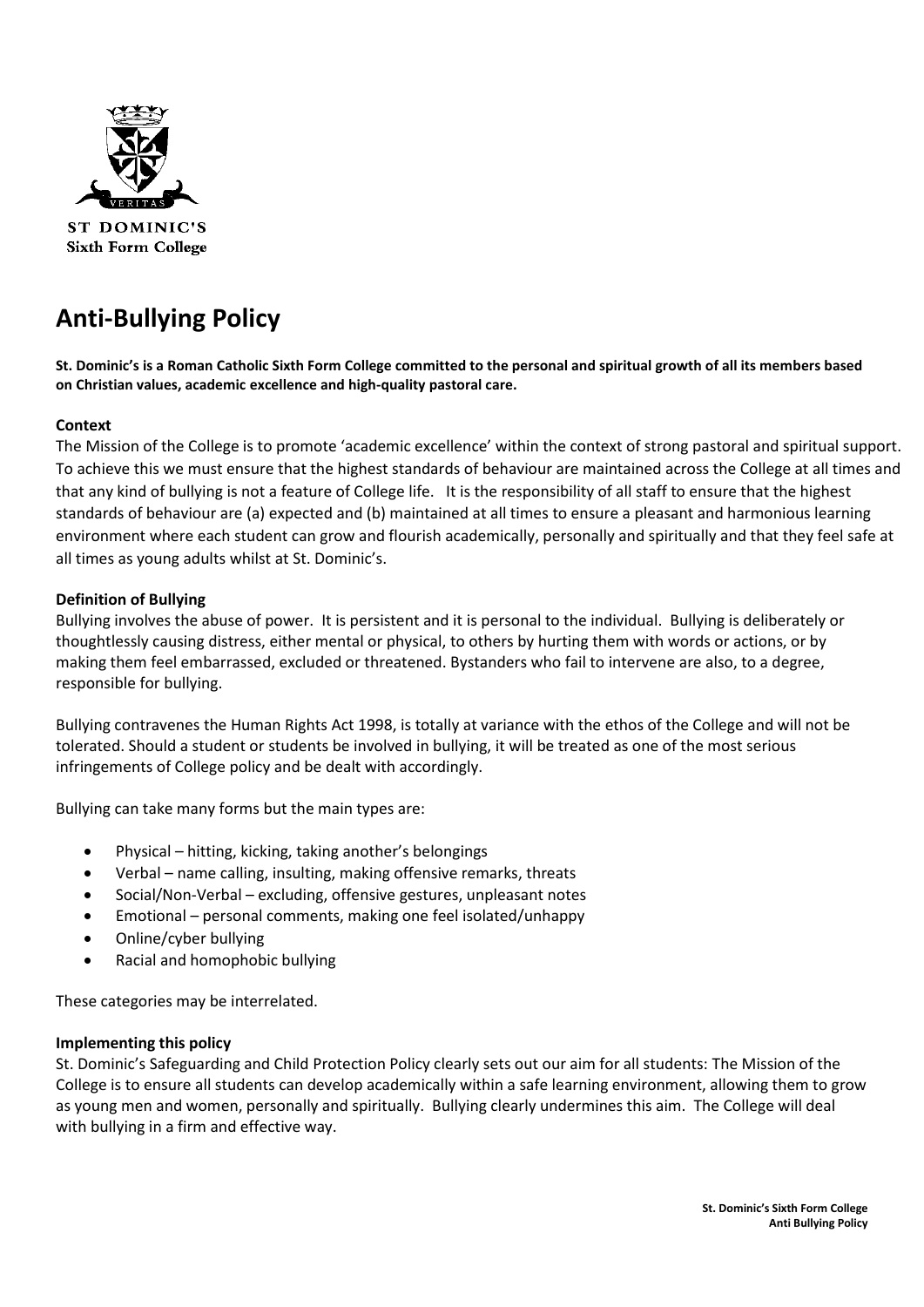

**ST DOMINIC'S Sixth Form College** 

# **Anti-Bullying Policy**

**St. Dominic's is a Roman Catholic Sixth Form College committed to the personal and spiritual growth of all its members based on Christian values, academic excellence and high-quality pastoral care.**

## **Context**

The Mission of the College is to promote 'academic excellence' within the context of strong pastoral and spiritual support. To achieve this we must ensure that the highest standards of behaviour are maintained across the College at all times and that any kind of bullying is not a feature of College life. It is the responsibility of all staff to ensure that the highest standards of behaviour are (a) expected and (b) maintained at all times to ensure a pleasant and harmonious learning environment where each student can grow and flourish academically, personally and spiritually and that they feel safe at all times as young adults whilst at St. Dominic's.

## **Definition of Bullying**

Bullying involves the abuse of power. It is persistent and it is personal to the individual. Bullying is deliberately or thoughtlessly causing distress, either mental or physical, to others by hurting them with words or actions, or by making them feel embarrassed, excluded or threatened. Bystanders who fail to intervene are also, to a degree, responsible for bullying.

Bullying contravenes the Human Rights Act 1998, is totally at variance with the ethos of the College and will not be tolerated. Should a student or students be involved in bullying, it will be treated as one of the most serious infringements of College policy and be dealt with accordingly.

Bullying can take many forms but the main types are:

- Physical hitting, kicking, taking another's belongings
- Verbal name calling, insulting, making offensive remarks, threats
- Social/Non-Verbal excluding, offensive gestures, unpleasant notes
- Emotional personal comments, making one feel isolated/unhappy
- Online/cyber bullying
- Racial and homophobic bullying

These categories may be interrelated.

#### **Implementing this policy**

St. Dominic's Safeguarding and Child Protection Policy clearly sets out our aim for all students: The Mission of the College is to ensure all students can develop academically within a safe learning environment, allowing them to grow as young men and women, personally and spiritually. Bullying clearly undermines this aim. The College will deal with bullying in a firm and effective way.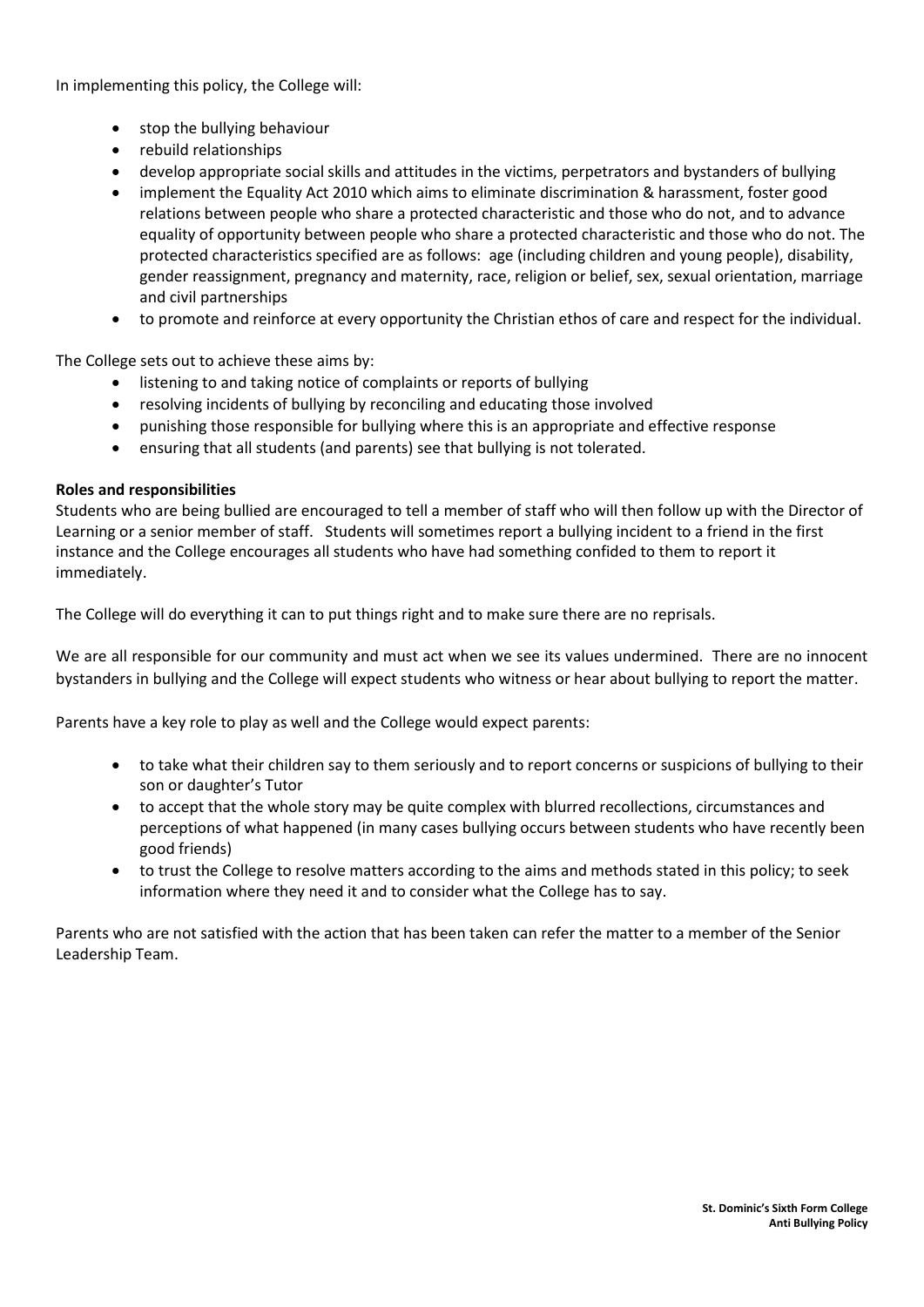In implementing this policy, the College will:

- stop the bullying behaviour
- rebuild relationships
- develop appropriate social skills and attitudes in the victims, perpetrators and bystanders of bullying
- implement the Equality Act 2010 which aims to eliminate discrimination & harassment, foster good relations between people who share a protected characteristic and those who do not, and to advance equality of opportunity between people who share a protected characteristic and those who do not. The protected characteristics specified are as follows: age (including children and young people), disability, gender reassignment, pregnancy and maternity, race, religion or belief, sex, sexual orientation, marriage and civil partnerships
- to promote and reinforce at every opportunity the Christian ethos of care and respect for the individual.

The College sets out to achieve these aims by:

- listening to and taking notice of complaints or reports of bullying
- resolving incidents of bullying by reconciling and educating those involved
- punishing those responsible for bullying where this is an appropriate and effective response
- ensuring that all students (and parents) see that bullying is not tolerated.

## **Roles and responsibilities**

Students who are being bullied are encouraged to tell a member of staff who will then follow up with the Director of Learning or a senior member of staff. Students will sometimes report a bullying incident to a friend in the first instance and the College encourages all students who have had something confided to them to report it immediately.

The College will do everything it can to put things right and to make sure there are no reprisals.

We are all responsible for our community and must act when we see its values undermined. There are no innocent bystanders in bullying and the College will expect students who witness or hear about bullying to report the matter.

Parents have a key role to play as well and the College would expect parents:

- to take what their children say to them seriously and to report concerns or suspicions of bullying to their son or daughter's Tutor
- to accept that the whole story may be quite complex with blurred recollections, circumstances and perceptions of what happened (in many cases bullying occurs between students who have recently been good friends)
- to trust the College to resolve matters according to the aims and methods stated in this policy; to seek information where they need it and to consider what the College has to say.

Parents who are not satisfied with the action that has been taken can refer the matter to a member of the Senior Leadership Team.